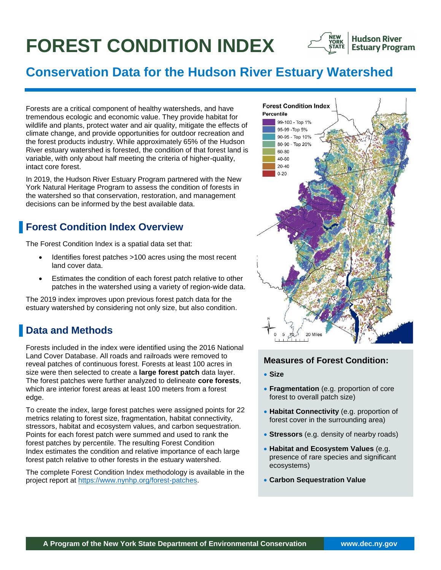# **FOREST CONDITION INDEX**



**Hudson River Estuary Program** 

# **Conservation Data for the Hudson River Estuary Watershed**

Forests are a critical component of healthy watersheds, and have tremendous ecologic and economic value. They provide habitat for wildlife and plants, protect water and air quality, mitigate the effects of climate change, and provide opportunities for outdoor recreation and the forest products industry. While approximately 65% of the Hudson River estuary watershed is forested, the condition of that forest land is variable, with only about half meeting the criteria of higher-quality, intact core forest.

In 2019, the Hudson River Estuary Program partnered with the New York Natural Heritage Program to assess the condition of forests in the watershed so that conservation, restoration, and management decisions can be informed by the best available data.

# **Forest Condition Index Overview**

The Forest Condition Index is a spatial data set that:

- Identifies forest patches >100 acres using the most recent land cover data.
- Estimates the condition of each forest patch relative to other patches in the watershed using a variety of region-wide data.

The 2019 index improves upon previous forest patch data for the estuary watershed by considering not only size, but also condition.

# ▐ **Data and Methods**

Forests included in the index were identified using the 2016 National Land Cover Database. All roads and railroads were removed to reveal patches of continuous forest. Forests at least 100 acres in size were then selected to create a **large forest patch** data layer. The forest patches were further analyzed to delineate **core forests**, which are interior forest areas at least 100 meters from a forest edge.

To create the index, large forest patches were assigned points for 22 metrics relating to forest size, fragmentation, habitat connectivity, stressors, habitat and ecosystem values, and carbon sequestration. Points for each forest patch were summed and used to rank the forest patches by percentile. The resulting Forest Condition Index estimates the condition and relative importance of each large forest patch relative to other forests in the estuary watershed.

The complete Forest Condition Index methodology is available in the project report at [https://www.nynhp.org/forest-patches.](https://www.nynhp.org/forest-patches)



#### **Measures of Forest Condition:**

- **Size**
- **Fragmentation** (e.g. proportion of core forest to overall patch size)
- **Habitat Connectivity** (e.g. proportion of forest cover in the surrounding area)
- **Stressors** (e.g. density of nearby roads)
- **Habitat and Ecosystem Values** (e.g. presence of rare species and significant ecosystems)
- **Carbon Sequestration Value**